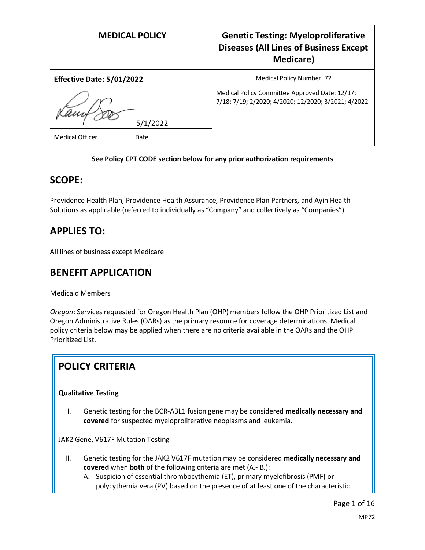| <b>MEDICAL POLICY</b>          | <b>Genetic Testing: Myeloproliferative</b><br><b>Diseases (All Lines of Business Except</b><br>Medicare) |
|--------------------------------|----------------------------------------------------------------------------------------------------------|
| Effective Date: 5/01/2022      | Medical Policy Number: 72                                                                                |
| 5/1/2022                       | Medical Policy Committee Approved Date: 12/17;<br>7/18; 7/19; 2/2020; 4/2020; 12/2020; 3/2021; 4/2022    |
| <b>Medical Officer</b><br>Date |                                                                                                          |

### **See Policy CPT CODE section below for any prior authorization requirements**

## **SCOPE:**

Providence Health Plan, Providence Health Assurance, Providence Plan Partners, and Ayin Health Solutions as applicable (referred to individually as "Company" and collectively as "Companies").

# **APPLIES TO:**

All lines of business except Medicare

## **BENEFIT APPLICATION**

### Medicaid Members

*Oregon*: Services requested for Oregon Health Plan (OHP) members follow the OHP Prioritized List and Oregon Administrative Rules (OARs) as the primary resource for coverage determinations. Medical policy criteria below may be applied when there are no criteria available in the OARs and the OHP Prioritized List.

# **POLICY CRITERIA**

### **Qualitative Testing**

I. Genetic testing for the BCR-ABL1 fusion gene may be considered **medically necessary and covered** for suspected myeloproliferative neoplasms and leukemia.

JAK2 Gene, V617F Mutation Testing

- II. Genetic testing for the JAK2 V617F mutation may be considered **medically necessary and covered** when **both** of the following criteria are met (A.- B.):
	- A. Suspicion of essential thrombocythemia (ET), primary myelofibrosis (PMF) or polycythemia vera (PV) based on the presence of at least one of the characteristic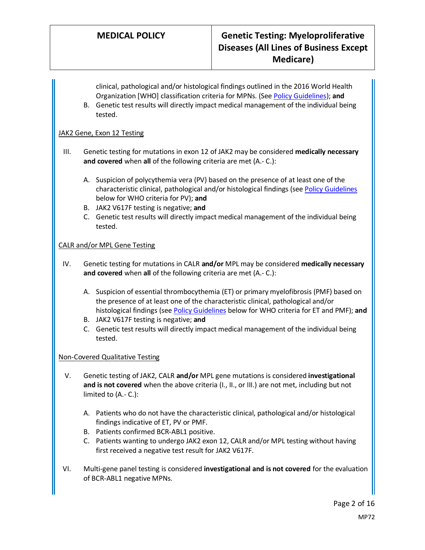clinical, pathological and/or histological findings outlined in the 2016 World Health Organization [WHO] classification criteria for MPNs. (See [Policy Guidelines\)](#page-2-0); **and**

B. Genetic test results will directly impact medical management of the individual being tested.

### JAK2 Gene, Exon 12 Testing

- III. Genetic testing for mutations in exon 12 of JAK2 may be considered **medically necessary and covered** when **all** of the following criteria are met (A.- C.):
	- A. Suspicion of polycythemia vera (PV) based on the presence of at least one of the characteristic clinical, pathological and/or histological findings (se[e Policy Guidelines](#page-2-0) below for WHO criteria for PV); **and**
	- B. JAK2 V617F testing is negative; **and**
	- C. Genetic test results will directly impact medical management of the individual being tested.

### CALR and/or MPL Gene Testing

- IV. Genetic testing for mutations in CALR **and/or** MPL may be considered **medically necessary and covered** when **all** of the following criteria are met (A.- C.):
	- A. Suspicion of essential thrombocythemia (ET) or primary myelofibrosis (PMF) based on the presence of at least one of the characteristic clinical, pathological and/or histological findings (see [Policy Guidelines](#page-2-0) below for WHO criteria for ET and PMF); **and**
	- B. JAK2 V617F testing is negative; **and**
	- C. Genetic test results will directly impact medical management of the individual being tested.

### Non-Covered Qualitative Testing

- V. Genetic testing of JAK2, CALR **and/or** MPL gene mutations is considered **investigational and is not covered** when the above criteria (I., II., or III.) are not met, including but not limited to (A.- C.):
	- A. Patients who do not have the characteristic clinical, pathological and/or histological findings indicative of ET, PV or PMF.
	- B. Patients confirmed BCR-ABL1 positive.
	- C. Patients wanting to undergo JAK2 exon 12, CALR and/or MPL testing without having first received a negative test result for JAK2 V617F.
- VI. Multi-gene panel testing is considered **investigational and is not covered** for the evaluation of BCR-ABL1 negative MPNs.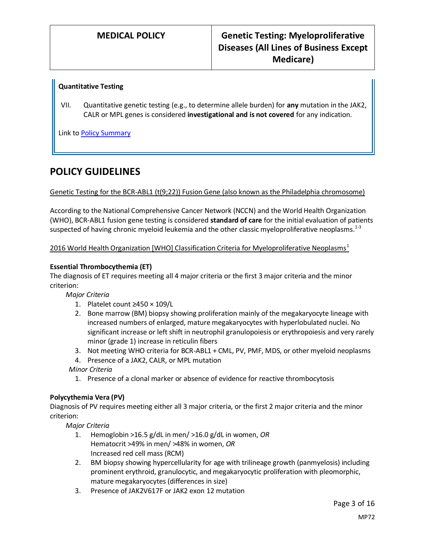### **Quantitative Testing**

VII. Quantitative genetic testing (e.g., to determine allele burden) for **any** mutation in the JAK2, CALR or MPL genes is considered **investigational and is not covered** for any indication.

Link t[o Policy Summary](#page-11-0)

## **POLICY GUIDELINES**

Genetic Testing for the BCR-ABL1 (t(9;22)) Fusion Gene (also known as the Philadelphia chromosome)

According to the National Comprehensive Cancer Network (NCCN) and the World Health Organization (WHO), BCR-ABL1 fusion gene testing is considered **standard of care** for the initial evaluation of patients suspected of having chronic myeloid leukemia and the other classic myeloproliferative neoplasms. $1-3$ 

<span id="page-2-0"></span>2016 World Health Organization [WHO] Classification Criteria for Myeloproliferative Neoplasms<sup>1</sup>

### **Essential Thrombocythemia (ET)**

The diagnosis of ET requires meeting all 4 major criteria or the first 3 major criteria and the minor criterion:

*Major Criteria*

- 1. Platelet count ≥450 × 109/L
- 2. Bone marrow (BM) biopsy showing proliferation mainly of the megakaryocyte lineage with increased numbers of enlarged, mature megakaryocytes with hyperlobulated nuclei. No significant increase or left shift in neutrophil granulopoiesis or erythropoiesis and very rarely minor (grade 1) increase in reticulin fibers
- 3. Not meeting WHO criteria for BCR-ABL1 + CML, PV, PMF, MDS, or other myeloid neoplasms
- 4. Presence of a JAK2, CALR, or MPL mutation

*Minor Criteria*

1. Presence of a clonal marker or absence of evidence for reactive thrombocytosis

### **Polycythemia Vera (PV)**

Diagnosis of PV requires meeting either all 3 major criteria, or the first 2 major criteria and the minor criterion:

*Major Criteria*

- 1. Hemoglobin >16.5 g/dL in men/ >16.0 g/dL in women, *OR* Hematocrit >49% in men/ >48% in women, *OR* Increased red cell mass (RCM)
- 2. BM biopsy showing hypercellularity for age with trilineage growth (panmyelosis) including prominent erythroid, granulocytic, and megakaryocytic proliferation with pleomorphic, mature megakaryocytes (differences in size)
- 3. Presence of JAK2V617F or JAK2 exon 12 mutation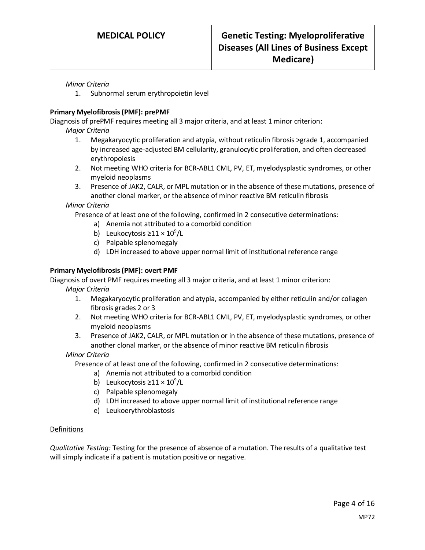### *Minor Criteria*

1. Subnormal serum erythropoietin level

### **Primary Myelofibrosis (PMF): prePMF**

Diagnosis of prePMF requires meeting all 3 major criteria, and at least 1 minor criterion:

*Major Criteria*

- 1. Megakaryocytic proliferation and atypia, without reticulin fibrosis >grade 1, accompanied by increased age-adjusted BM cellularity, granulocytic proliferation, and often decreased erythropoiesis
- 2. Not meeting WHO criteria for BCR-ABL1 CML, PV, ET, myelodysplastic syndromes, or other myeloid neoplasms
- 3. Presence of JAK2, CALR, or MPL mutation or in the absence of these mutations, presence of another clonal marker, or the absence of minor reactive BM reticulin fibrosis

*Minor Criteria*

Presence of at least one of the following, confirmed in 2 consecutive determinations:

- a) Anemia not attributed to a comorbid condition
- b) Leukocytosis  $\geq 11 \times 10^9$ /L
- c) Palpable splenomegaly
- d) LDH increased to above upper normal limit of institutional reference range

### **Primary Myelofibrosis (PMF): overt PMF**

Diagnosis of overt PMF requires meeting all 3 major criteria, and at least 1 minor criterion:

*Major Criteria*

- 1. Megakaryocytic proliferation and atypia, accompanied by either reticulin and/or collagen fibrosis grades 2 or 3
- 2. Not meeting WHO criteria for BCR-ABL1 CML, PV, ET, myelodysplastic syndromes, or other myeloid neoplasms
- 3. Presence of JAK2, CALR, or MPL mutation or in the absence of these mutations, presence of another clonal marker, or the absence of minor reactive BM reticulin fibrosis

### *Minor Criteria*

Presence of at least one of the following, confirmed in 2 consecutive determinations:

- a) Anemia not attributed to a comorbid condition
- b) Leukocytosis  $\geq 11 \times 10^9$ /L
- c) Palpable splenomegaly
- d) LDH increased to above upper normal limit of institutional reference range
- e) Leukoerythroblastosis

### **Definitions**

*Qualitative Testing:* Testing for the presence of absence of a mutation. The results of a qualitative test will simply indicate if a patient is mutation positive or negative.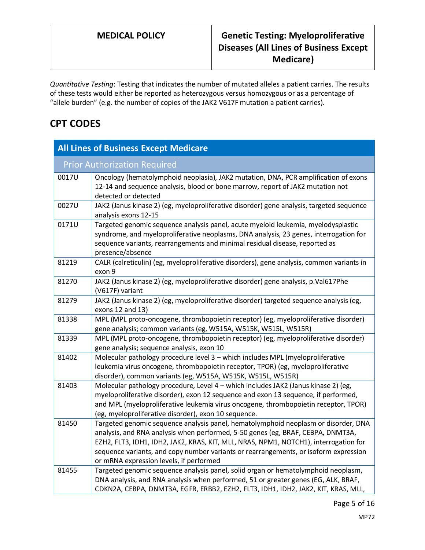*Quantitative Testing*: Testing that indicates the number of mutated alleles a patient carries. The results of these tests would either be reported as heterozygous versus homozygous or as a percentage of "allele burden" (e.g. the number of copies of the JAK2 V617F mutation a patient carries).

# **CPT CODES**

| <b>All Lines of Business Except Medicare</b> |                                                                                                                                                                                                                                                                                                                                                                                                  |  |
|----------------------------------------------|--------------------------------------------------------------------------------------------------------------------------------------------------------------------------------------------------------------------------------------------------------------------------------------------------------------------------------------------------------------------------------------------------|--|
| <b>Prior Authorization Required</b>          |                                                                                                                                                                                                                                                                                                                                                                                                  |  |
| 0017U                                        | Oncology (hematolymphoid neoplasia), JAK2 mutation, DNA, PCR amplification of exons<br>12-14 and sequence analysis, blood or bone marrow, report of JAK2 mutation not<br>detected or detected                                                                                                                                                                                                    |  |
| 0027U                                        | JAK2 (Janus kinase 2) (eg, myeloproliferative disorder) gene analysis, targeted sequence<br>analysis exons 12-15                                                                                                                                                                                                                                                                                 |  |
| 0171U                                        | Targeted genomic sequence analysis panel, acute myeloid leukemia, myelodysplastic<br>syndrome, and myeloproliferative neoplasms, DNA analysis, 23 genes, interrogation for<br>sequence variants, rearrangements and minimal residual disease, reported as<br>presence/absence                                                                                                                    |  |
| 81219                                        | CALR (calreticulin) (eg, myeloproliferative disorders), gene analysis, common variants in<br>exon 9                                                                                                                                                                                                                                                                                              |  |
| 81270                                        | JAK2 (Janus kinase 2) (eg, myeloproliferative disorder) gene analysis, p.Val617Phe<br>(V617F) variant                                                                                                                                                                                                                                                                                            |  |
| 81279                                        | JAK2 (Janus kinase 2) (eg, myeloproliferative disorder) targeted sequence analysis (eg,<br>exons 12 and 13)                                                                                                                                                                                                                                                                                      |  |
| 81338                                        | MPL (MPL proto-oncogene, thrombopoietin receptor) (eg, myeloproliferative disorder)<br>gene analysis; common variants (eg, W515A, W515K, W515L, W515R)                                                                                                                                                                                                                                           |  |
| 81339                                        | MPL (MPL proto-oncogene, thrombopoietin receptor) (eg, myeloproliferative disorder)<br>gene analysis; sequence analysis, exon 10                                                                                                                                                                                                                                                                 |  |
| 81402                                        | Molecular pathology procedure level 3 - which includes MPL (myeloproliferative<br>leukemia virus oncogene, thrombopoietin receptor, TPOR) (eg, myeloproliferative<br>disorder), common variants (eg, W515A, W515K, W515L, W515R)                                                                                                                                                                 |  |
| 81403                                        | Molecular pathology procedure, Level 4 - which includes JAK2 (Janus kinase 2) (eg,<br>myeloproliferative disorder), exon 12 sequence and exon 13 sequence, if performed,<br>and MPL (myeloproliferative leukemia virus oncogene, thrombopoietin receptor, TPOR)<br>(eg, myeloproliferative disorder), exon 10 sequence.                                                                          |  |
| 81450                                        | Targeted genomic sequence analysis panel, hematolymphoid neoplasm or disorder, DNA<br>analysis, and RNA analysis when performed, 5-50 genes (eg, BRAF, CEBPA, DNMT3A,<br>EZH2, FLT3, IDH1, IDH2, JAK2, KRAS, KIT, MLL, NRAS, NPM1, NOTCH1), interrogation for<br>sequence variants, and copy number variants or rearrangements, or isoform expression<br>or mRNA expression levels, if performed |  |
| 81455                                        | Targeted genomic sequence analysis panel, solid organ or hematolymphoid neoplasm,<br>DNA analysis, and RNA analysis when performed, 51 or greater genes (EG, ALK, BRAF,<br>CDKN2A, CEBPA, DNMT3A, EGFR, ERBB2, EZH2, FLT3, IDH1, IDH2, JAK2, KIT, KRAS, MLL,                                                                                                                                     |  |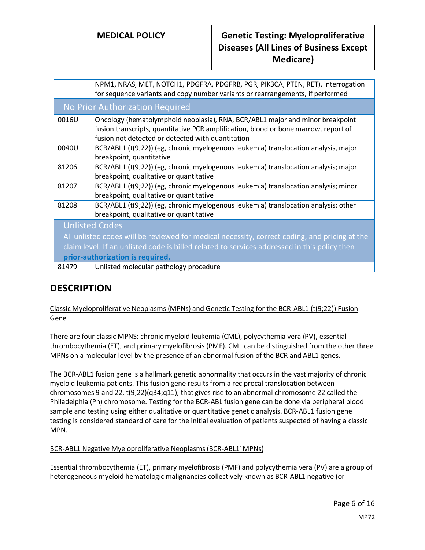|                                                                                               | NPM1, NRAS, MET, NOTCH1, PDGFRA, PDGFRB, PGR, PIK3CA, PTEN, RET), interrogation<br>for sequence variants and copy number variants or rearrangements, if performed                                                         |
|-----------------------------------------------------------------------------------------------|---------------------------------------------------------------------------------------------------------------------------------------------------------------------------------------------------------------------------|
| No Prior Authorization Required                                                               |                                                                                                                                                                                                                           |
| 0016U                                                                                         | Oncology (hematolymphoid neoplasia), RNA, BCR/ABL1 major and minor breakpoint<br>fusion transcripts, quantitative PCR amplification, blood or bone marrow, report of<br>fusion not detected or detected with quantitation |
| 0040U                                                                                         | BCR/ABL1 (t(9;22)) (eg, chronic myelogenous leukemia) translocation analysis, major<br>breakpoint, quantitative                                                                                                           |
| 81206                                                                                         | BCR/ABL1 (t(9;22)) (eg, chronic myelogenous leukemia) translocation analysis; major<br>breakpoint, qualitative or quantitative                                                                                            |
| 81207                                                                                         | BCR/ABL1 (t(9;22)) (eg, chronic myelogenous leukemia) translocation analysis; minor<br>breakpoint, qualitative or quantitative                                                                                            |
| 81208                                                                                         | BCR/ABL1 (t(9;22)) (eg, chronic myelogenous leukemia) translocation analysis; other<br>breakpoint, qualitative or quantitative                                                                                            |
| <b>Unlisted Codes</b>                                                                         |                                                                                                                                                                                                                           |
| All unlisted codes will be reviewed for medical necessity, correct coding, and pricing at the |                                                                                                                                                                                                                           |
| claim level. If an unlisted code is billed related to services addressed in this policy then  |                                                                                                                                                                                                                           |
| prior-authorization is required.                                                              |                                                                                                                                                                                                                           |
| 81479                                                                                         | Unlisted molecular pathology procedure                                                                                                                                                                                    |
|                                                                                               |                                                                                                                                                                                                                           |

# **DESCRIPTION**

### Classic Myeloproliferative Neoplasms (MPNs) and Genetic Testing for the BCR-ABL1 (t(9;22)) Fusion Gene

There are four classic MPNS: chronic myeloid leukemia (CML), polycythemia vera (PV), essential thrombocythemia (ET), and primary myelofibrosis (PMF). CML can be distinguished from the other three MPNs on a molecular level by the presence of an abnormal fusion of the BCR and ABL1 genes.

The BCR-ABL1 fusion gene is a hallmark genetic abnormality that occurs in the vast majority of chronic myeloid leukemia patients. This fusion gene results from a reciprocal translocation between chromosomes 9 and 22, t(9;22)(q34;q11), that gives rise to an abnormal chromosome 22 called the Philadelphia (Ph) chromosome. Testing for the BCR-ABL fusion gene can be done via peripheral blood sample and testing using either qualitative or quantitative genetic analysis. BCR-ABL1 fusion gene testing is considered standard of care for the initial evaluation of patients suspected of having a classic MPN.

### BCR-ABL1 Negative Myeloproliferative Neoplasms (BCR-ABL1- MPNs)

Essential thrombocythemia (ET), primary myelofibrosis (PMF) and polycythemia vera (PV) are a group of heterogeneous myeloid hematologic malignancies collectively known as BCR-ABL1 negative (or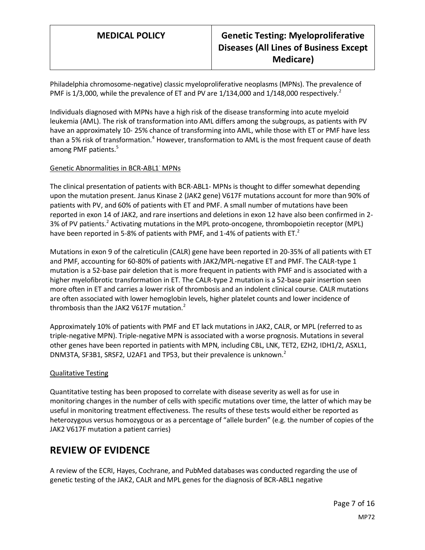Philadelphia chromosome-negative) classic myeloproliferative neoplasms (MPNs). The prevalence of PMF is  $1/3,000$ , while the prevalence of ET and PV are  $1/134,000$  and  $1/148,000$  respectively.<sup>2</sup>

Individuals diagnosed with MPNs have a high risk of the disease transforming into acute myeloid leukemia (AML). The risk of transformation into AML differs among the subgroups, as patients with PV have an approximately 10- 25% chance of transforming into AML, while those with ET or PMF have less than a 5% risk of transformation.<sup>4</sup> However, transformation to AML is the most frequent cause of death among PMF patients.<sup>5</sup>

### Genetic Abnormalities in BCR-ABL1- MPNs

The clinical presentation of patients with BCR-ABL1- MPNs is thought to differ somewhat depending upon the mutation present. Janus Kinase 2 (JAK2 gene) V617F mutations account for more than 90% of patients with PV, and 60% of patients with ET and PMF. A small number of mutations have been reported in exon 14 of JAK2, and rare insertions and deletions in exon 12 have also been confirmed in 2- 3% of PV patients.<sup>2</sup> Activating mutations in the MPL proto-oncogene, thrombopoietin receptor (MPL) have been reported in 5-8% of patients with PMF, and 1-4% of patients with ET.<sup>2</sup>

Mutations in exon 9 of the calreticulin (CALR) gene have been reported in 20-35% of all patients with ET and PMF, accounting for 60-80% of patients with JAK2/MPL-negative ET and PMF. The CALR-type 1 mutation is a 52-base pair deletion that is more frequent in patients with PMF and is associated with a higher myelofibrotic transformation in ET. The CALR-type 2 mutation is a 52-base pair insertion seen more often in ET and carries a lower risk of thrombosis and an indolent clinical course. CALR mutations are often associated with lower hemoglobin levels, higher platelet counts and lower incidence of thrombosis than the JAK2 V617F mutation. $2$ 

Approximately 10% of patients with PMF and ET lack mutations in JAK2, CALR, or MPL (referred to as triple-negative MPN). Triple-negative MPN is associated with a worse prognosis. Mutations in several other genes have been reported in patients with MPN, including CBL, LNK, TET2, EZH2, IDH1/2, ASXL1, DNM3TA, SF3B1, SRSF2, U2AF1 and TP53, but their prevalence is unknown.<sup>2</sup>

### Qualitative Testing

Quantitative testing has been proposed to correlate with disease severity as well as for use in monitoring changes in the number of cells with specific mutations over time, the latter of which may be useful in monitoring treatment effectiveness. The results of these tests would either be reported as heterozygous versus homozygous or as a percentage of "allele burden" (e.g. the number of copies of the JAK2 V617F mutation a patient carries)

## **REVIEW OF EVIDENCE**

A review of the ECRI, Hayes, Cochrane, and PubMed databases was conducted regarding the use of genetic testing of the JAK2, CALR and MPL genes for the diagnosis of BCR-ABL1 negative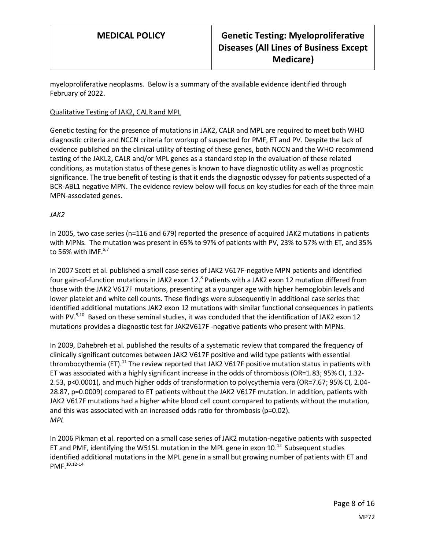myeloproliferative neoplasms. Below is a summary of the available evidence identified through February of 2022.

### Qualitative Testing of JAK2, CALR and MPL

Genetic testing for the presence of mutations in JAK2, CALR and MPL are required to meet both WHO diagnostic criteria and NCCN criteria for workup of suspected for PMF, ET and PV. Despite the lack of evidence published on the clinical utility of testing of these genes, both NCCN and the WHO recommend testing of the JAKL2, CALR and/or MPL genes as a standard step in the evaluation of these related conditions, as mutation status of these genes is known to have diagnostic utility as well as prognostic significance. The true benefit of testing is that it ends the diagnostic odyssey for patients suspected of a BCR-ABL1 negative MPN. The evidence review below will focus on key studies for each of the three main MPN-associated genes.

### *JAK2*

In 2005, two case series (n=116 and 679) reported the presence of acquired JAK2 mutations in patients with MPNs. The mutation was present in 65% to 97% of patients with PV, 23% to 57% with ET, and 35% to 56% with IMF. $6,7$ 

In 2007 Scott et al. published a small case series of JAK2 V617F-negative MPN patients and identified four gain-of-function mutations in JAK2 exon 12.<sup>8</sup> Patients with a JAK2 exon 12 mutation differed from those with the JAK2 V617F mutations, presenting at a younger age with higher hemoglobin levels and lower platelet and white cell counts. These findings were subsequently in additional case series that identified additional mutations JAK2 exon 12 mutations with similar functional consequences in patients with PV.<sup>9,10</sup> Based on these seminal studies, it was concluded that the identification of JAK2 exon 12 mutations provides a diagnostic test for JAK2V617F -negative patients who present with MPNs.

In 2009, Dahebreh et al. published the results of a systematic review that compared the frequency of clinically significant outcomes between JAK2 V617F positive and wild type patients with essential thrombocythemia (ET).<sup>11</sup> The review reported that JAK2 V617F positive mutation status in patients with ET was associated with a highly significant increase in the odds of thrombosis (OR=1.83; 95% CI, 1.32- 2.53, p<0.0001), and much higher odds of transformation to polycythemia vera (OR=7.67; 95% CI, 2.04- 28.87, p=0.0009) compared to ET patients without the JAK2 V617F mutation. In addition, patients with JAK2 V617F mutations had a higher white blood cell count compared to patients without the mutation, and this was associated with an increased odds ratio for thrombosis (p=0.02). *MPL*

In 2006 Pikman et al. reported on a small case series of JAK2 mutation-negative patients with suspected ET and PMF, identifying the W515L mutation in the MPL gene in exon 10. $^{12}$  Subsequent studies identified additional mutations in the MPL gene in a small but growing number of patients with ET and PMF. 10,12-14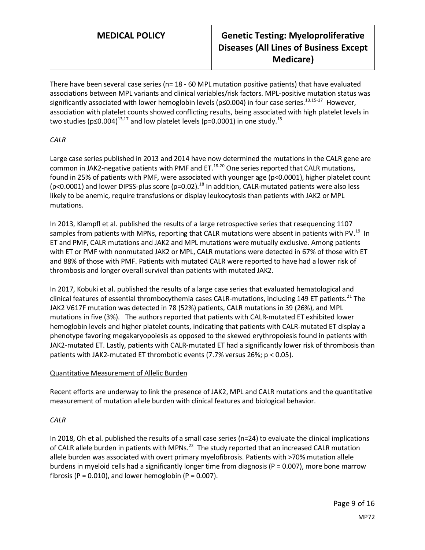# **MEDICAL POLICY Genetic Testing: Myeloproliferative Diseases (All Lines of Business Except Medicare)**

There have been several case series ( $n= 18$  - 60 MPL mutation positive patients) that have evaluated associations between MPL variants and clinical variables/risk factors. MPL-positive mutation status was significantly associated with lower hemoglobin levels (p≤0.004) in four case series.<sup>13,15-17</sup> However, association with platelet counts showed conflicting results, being associated with high platelet levels in two studies ( $p \le 0.004$ )<sup>13,17</sup> and low platelet levels ( $p = 0.0001$ ) in one study.<sup>15</sup>

### *CALR*

Large case series published in 2013 and 2014 have now determined the mutations in the CALR gene are common in JAK2-negative patients with PMF and ET.<sup>18-20</sup> One series reported that CALR mutations, found in 25% of patients with PMF, were associated with younger age (p<0.0001), higher platelet count ( $p$ <0.0001) and lower DIPSS-plus score ( $p$ =0.02).<sup>18</sup> In addition, CALR-mutated patients were also less likely to be anemic, require transfusions or display leukocytosis than patients with JAK2 or MPL mutations.

In 2013, Klampfl et al. published the results of a large retrospective series that resequencing 1107 samples from patients with MPNs, reporting that CALR mutations were absent in patients with PV.<sup>19</sup> In ET and PMF, CALR mutations and JAK2 and MPL mutations were mutually exclusive. Among patients with ET or PMF with nonmutated JAK2 or MPL, CALR mutations were detected in 67% of those with ET and 88% of those with PMF. Patients with mutated CALR were reported to have had a lower risk of thrombosis and longer overall survival than patients with mutated JAK2.

In 2017, Kobuki et al. published the results of a large case series that evaluated hematological and clinical features of essential thrombocythemia cases CALR-mutations, including 149 ET patients.<sup>21</sup> The JAK2 V617F mutation was detected in 78 (52%) patients, CALR mutations in 39 (26%), and MPL mutations in five (3%). The authors reported that patients with CALR-mutated ET exhibited lower hemoglobin levels and higher platelet counts, indicating that patients with CALR-mutated ET display a phenotype favoring megakaryopoiesis as opposed to the skewed erythropoiesis found in patients with JAK2-mutated ET. Lastly, patients with CALR-mutated ET had a significantly lower risk of thrombosis than patients with JAK2-mutated ET thrombotic events (7.7% versus 26%; p < 0.05).

### Quantitative Measurement of Allelic Burden

Recent efforts are underway to link the presence of JAK2, MPL and CALR mutations and the quantitative measurement of mutation allele burden with clinical features and biological behavior.

### *CALR*

In 2018, Oh et al. published the results of a small case series (n=24) to evaluate the clinical implications of CALR allele burden in patients with MPNs.<sup>22</sup> The study reported that an increased CALR mutation allele burden was associated with overt primary myelofibrosis. Patients with >70% mutation allele burdens in myeloid cells had a significantly longer time from diagnosis (P = 0.007), more bone marrow fibrosis ( $P = 0.010$ ), and lower hemoglobin ( $P = 0.007$ ).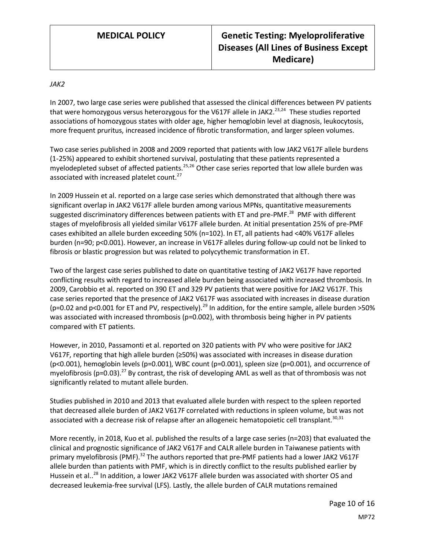### *JAK2*

In 2007, two large case series were published that assessed the clinical differences between PV patients that were homozygous versus heterozygous for the V617F allele in JAK2.<sup>23,24</sup> These studies reported associations of homozygous states with older age, higher hemoglobin level at diagnosis, leukocytosis, more frequent pruritus, increased incidence of fibrotic transformation, and larger spleen volumes.

Two case series published in 2008 and 2009 reported that patients with low JAK2 V617F allele burdens (1-25%) appeared to exhibit shortened survival, postulating that these patients represented a myelodepleted subset of affected patients.<sup>25,26</sup> Other case series reported that low allele burden was associated with increased platelet count.<sup>27</sup>

In 2009 Hussein et al. reported on a large case series which demonstrated that although there was significant overlap in JAK2 V617F allele burden among various MPNs, quantitative measurements suggested discriminatory differences between patients with ET and pre-PMF.<sup>28</sup> PMF with different stages of myelofibrosis all yielded similar V617F allele burden. At initial presentation 25% of pre-PMF cases exhibited an allele burden exceeding 50% (n=102). In ET, all patients had <40% V617F alleles burden (n=90; p<0.001). However, an increase in V617F alleles during follow-up could not be linked to fibrosis or blastic progression but was related to polycythemic transformation in ET.

Two of the largest case series published to date on quantitative testing of JAK2 V617F have reported conflicting results with regard to increased allele burden being associated with increased thrombosis. In 2009, Carobbio et al. reported on 390 ET and 329 PV patients that were positive for JAK2 V617F. This case series reported that the presence of JAK2 V617F was associated with increases in disease duration (p=0.02 and p<0.001 for ET and PV, respectively).<sup>29</sup> In addition, for the entire sample, allele burden >50% was associated with increased thrombosis (p=0.002), with thrombosis being higher in PV patients compared with ET patients.

However, in 2010, Passamonti et al. reported on 320 patients with PV who were positive for JAK2 V617F, reporting that high allele burden (≥50%) was associated with increases in disease duration (p<0.001), hemoglobin levels (p=0.001), WBC count (p=0.001), spleen size (p=0.001), and occurrence of myelofibrosis (p=0.03).<sup>27</sup> By contrast, the risk of developing AML as well as that of thrombosis was not significantly related to mutant allele burden.

Studies published in 2010 and 2013 that evaluated allele burden with respect to the spleen reported that decreased allele burden of JAK2 V617F correlated with reductions in spleen volume, but was not associated with a decrease risk of relapse after an allogeneic hematopoietic cell transplant.<sup>30,31</sup>

More recently, in 2018, Kuo et al. published the results of a large case series (n=203) that evaluated the clinical and prognostic significance of JAK2 V617F and CALR allele burden in Taiwanese patients with primary myelofibrosis (PMF).<sup>32</sup> The authors reported that pre-PMF patients had a lower JAK2 V617F allele burden than patients with PMF, which is in directly conflict to the results published earlier by Hussein et al..<sup>28</sup> In addition, a lower JAK2 V617F allele burden was associated with shorter OS and decreased leukemia-free survival (LFS). Lastly, the allele burden of CALR mutations remained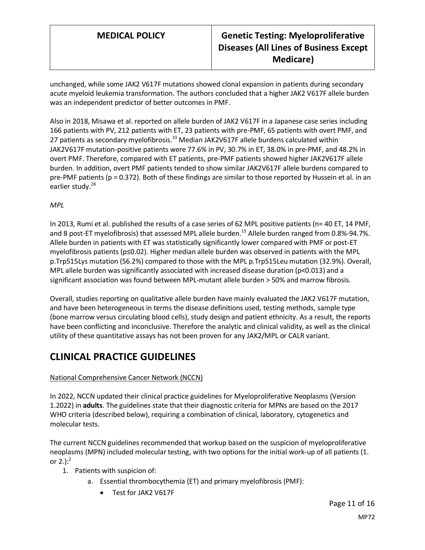unchanged, while some JAK2 V617F mutations showed clonal expansion in patients during secondary acute myeloid leukemia transformation. The authors concluded that a higher JAK2 V617F allele burden was an independent predictor of better outcomes in PMF.

Also in 2018, Misawa et al. reported on allele burden of JAK2 V617F in a Japanese case series including 166 patients with PV, 212 patients with ET, 23 patients with pre-PMF, 65 patients with overt PMF, and 27 patients as secondary myelofibrosis.<sup>33</sup> Median JAK2V617F allele burdens calculated within JAK2V617F mutation-positive patients were 77.6% in PV, 30.7% in ET, 38.0% in pre-PMF, and 48.2% in overt PMF. Therefore, compared with ET patients, pre-PMF patients showed higher JAK2V617F allele burden. In addition, overt PMF patients tended to show similar JAK2V617F allele burdens compared to pre-PMF patients (p = 0.372). Both of these findings are similar to those reported by Hussein et al. in an earlier study.<sup>28</sup>

*MPL*

In 2013, Rumi et al. published the results of a case series of 62 MPL positive patients (n= 40 ET, 14 PMF, and 8 post-ET myelofibrosis) that assessed MPL allele burden.<sup>15</sup> Allele burden ranged from 0.8%-94.7%. Allele burden in patients with ET was statistically significantly lower compared with PMF or post-ET myelofibrosis patients (p≤0.02). Higher median allele burden was observed in patients with the MPL p.Trp515Lys mutation (56.2%) compared to those with the MPL p.Trp515Leu mutation (32.9%). Overall, MPL allele burden was significantly associated with increased disease duration (p<0.013) and a significant association was found between MPL-mutant allele burden > 50% and marrow fibrosis.

Overall, studies reporting on qualitative allele burden have mainly evaluated the JAK2 V617F mutation, and have been heterogeneous in terms the disease definitions used, testing methods, sample type (bone marrow versus circulating blood cells), study design and patient ethnicity. As a result, the reports have been conflicting and inconclusive. Therefore the analytic and clinical validity, as well as the clinical utility of these quantitative assays has not been proven for any JAK2/MPL or CALR variant.

# **CLINICAL PRACTICE GUIDELINES**

### National Comprehensive Cancer Network (NCCN)

In 2022, NCCN updated their clinical practice guidelines for Myeloproliferative Neoplasms (Version 1.2022) in **adults**. The guidelines state that their diagnostic criteria for MPNs are based on the 2017 WHO criteria (described below), requiring a combination of clinical, laboratory, cytogenetics and molecular tests.

The current NCCN guidelines recommended that workup based on the suspicion of myeloproliferative neoplasms (MPN) included molecular testing, with two options for the initial work-up of all patients (1. or 2.): $^{2}$ 

- 1. Patients with suspicion of:
	- a. Essential thrombocythemia (ET) and primary myelofibrosis (PMF):
		- Test for JAK2 V617F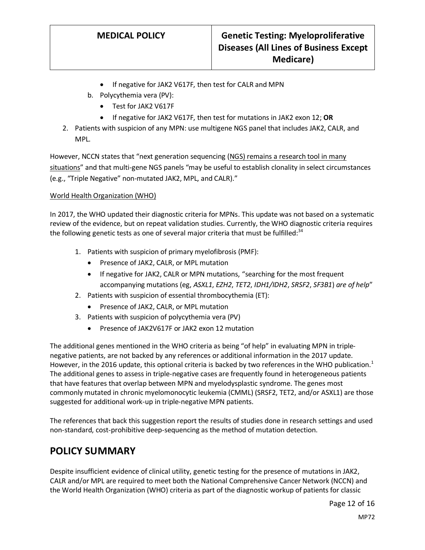- If negative for JAK2 V617F, then test for CALR and MPN
- b. Polycythemia vera (PV):
	- Test for JAK2 V617F
	- If negative for JAK2 V617F, then test for mutations in JAK2 exon 12; **OR**
- 2. Patients with suspicion of any MPN: use multigene NGS panel that includes JAK2, CALR, and MPL.

However, NCCN states that "next generation sequencing (NGS) remains a research tool in many situations" and that multi-gene NGS panels "may be useful to establish clonality in select circumstances (e.g., "Triple Negative" non-mutated JAK2, MPL, and CALR)."

### World Health Organization (WHO)

In 2017, the WHO updated their diagnostic criteria for MPNs. This update was not based on a systematic review of the evidence, but on repeat validation studies. Currently, the WHO diagnostic criteria requires the following genetic tests as one of several major criteria that must be fulfilled: $34$ 

- 1. Patients with suspicion of primary myelofibrosis (PMF):
	- Presence of JAK2, CALR, or MPL mutation
	- If negative for JAK2, CALR or MPN mutations, "searching for the most frequent accompanying mutations (eg, *ASXL1*, *EZH2*, *TET2*, *IDH1/IDH2*, *SRSF2*, *SF3B1*) *are of help*"
- 2. Patients with suspicion of essential thrombocythemia (ET):
	- Presence of JAK2, CALR, or MPL mutation
- 3. Patients with suspicion of polycythemia vera (PV)
	- Presence of JAK2V617F or JAK2 exon 12 mutation

The additional genes mentioned in the WHO criteria as being "of help" in evaluating MPN in triplenegative patients, are not backed by any references or additional information in the 2017 update. However, in the 2016 update, this optional criteria is backed by two references in the WHO publication.<sup>1</sup> The additional genes to assess in triple-negative cases are frequently found in heterogeneous patients that have features that overlap between MPN and myelodysplastic syndrome. The genes most commonly mutated in chronic myelomonocytic leukemia (CMML) (SRSF2, TET2, and/or ASXL1) are those suggested for additional work-up in triple-negative MPN patients.

The references that back this suggestion report the results of studies done in research settings and used non-standard, cost-prohibitive deep-sequencing as the method of mutation detection.

# <span id="page-11-0"></span>**POLICY SUMMARY**

Despite insufficient evidence of clinical utility, genetic testing for the presence of mutations in JAK2, CALR and/or MPL are required to meet both the National Comprehensive Cancer Network (NCCN) and the World Health Organization (WHO) criteria as part of the diagnostic workup of patients for classic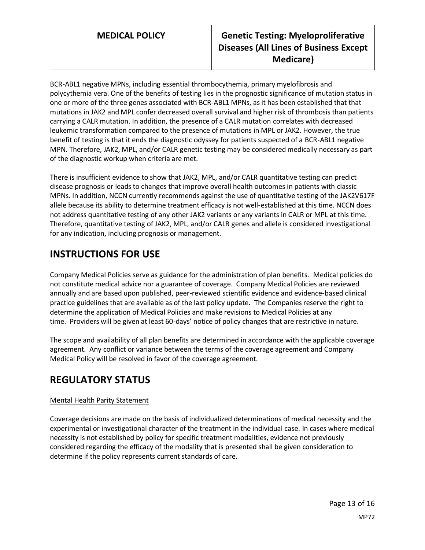BCR-ABL1 negative MPNs, including essential thrombocythemia, primary myelofibrosis and polycythemia vera. One of the benefits of testing lies in the prognostic significance of mutation status in one or more of the three genes associated with BCR-ABL1 MPNs, as it has been established that that mutations in JAK2 and MPL confer decreased overall survival and higher risk of thrombosis than patients carrying a CALR mutation. In addition, the presence of a CALR mutation correlates with decreased leukemic transformation compared to the presence of mutations in MPL or JAK2. However, the true benefit of testing is that it ends the diagnostic odyssey for patients suspected of a BCR-ABL1 negative MPN. Therefore, JAK2, MPL, and/or CALR genetic testing may be considered medically necessary as part of the diagnostic workup when criteria are met.

There is insufficient evidence to show that JAK2, MPL, and/or CALR quantitative testing can predict disease prognosis or leads to changes that improve overall health outcomes in patients with classic MPNs. In addition, NCCN currently recommends against the use of quantitative testing of the JAK2V617F allele because its ability to determine treatment efficacy is not well-established at this time. NCCN does not address quantitative testing of any other JAK2 variants or any variants in CALR or MPL at this time. Therefore, quantitative testing of JAK2, MPL, and/or CALR genes and allele is considered investigational for any indication, including prognosis or management.

# **INSTRUCTIONS FOR USE**

Company Medical Policies serve as guidance for the administration of plan benefits. Medical policies do not constitute medical advice nor a guarantee of coverage. Company Medical Policies are reviewed annually and are based upon published, peer-reviewed scientific evidence and evidence-based clinical practice guidelines that are available as of the last policy update. The Companies reserve the right to determine the application of Medical Policies and make revisions to Medical Policies at any time. Providers will be given at least 60-days' notice of policy changes that are restrictive in nature.

The scope and availability of all plan benefits are determined in accordance with the applicable coverage agreement. Any conflict or variance between the terms of the coverage agreement and Company Medical Policy will be resolved in favor of the coverage agreement.

# **REGULATORY STATUS**

### Mental Health Parity Statement

Coverage decisions are made on the basis of individualized determinations of medical necessity and the experimental or investigational character of the treatment in the individual case. In cases where medical necessity is not established by policy for specific treatment modalities, evidence not previously considered regarding the efficacy of the modality that is presented shall be given consideration to determine if the policy represents current standards of care.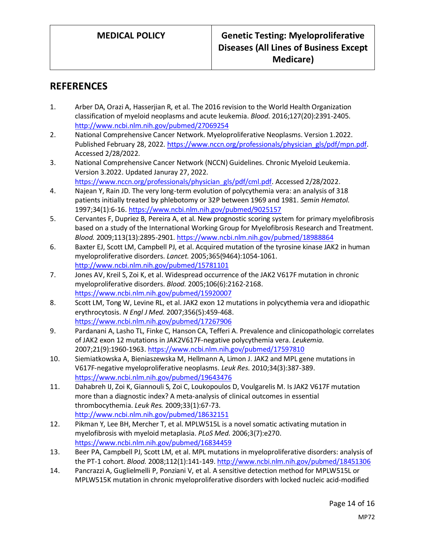## **REFERENCES**

- 1. Arber DA, Orazi A, Hasserjian R, et al. The 2016 revision to the World Health Organization classification of myeloid neoplasms and acute leukemia. *Blood.* 2016;127(20):2391-2405. <http://www.ncbi.nlm.nih.gov/pubmed/27069254>
- 2. National Comprehensive Cancer Network. Myeloproliferative Neoplasms. Version 1.2022. Published February 28, 2022[. https://www.nccn.org/professionals/physician\\_gls/pdf/mpn.pdf.](https://www.nccn.org/professionals/physician_gls/pdf/mpn.pdf) Accessed 2/28/2022.
- 3. National Comprehensive Cancer Network (NCCN) Guidelines. Chronic Myeloid Leukemia. Version 3.2022. Updated Januray 27, 2022. [https://www.nccn.org/professionals/physician\\_gls/pdf/cml.pdf.](https://www.nccn.org/professionals/physician_gls/pdf/cml.pdf) Accessed 2/28/2022.
- 4. Najean Y, Rain JD. The very long-term evolution of polycythemia vera: an analysis of 318 patients initially treated by phlebotomy or 32P between 1969 and 1981. *Semin Hematol.*  1997;34(1):6-16.<https://www.ncbi.nlm.nih.gov/pubmed/9025157>
- 5. Cervantes F, Dupriez B, Pereira A, et al. New prognostic scoring system for primary myelofibrosis based on a study of the International Working Group for Myelofibrosis Research and Treatment. *Blood.* 2009;113(13):2895-2901[. https://www.ncbi.nlm.nih.gov/pubmed/18988864](https://www.ncbi.nlm.nih.gov/pubmed/18988864)
- 6. Baxter EJ, Scott LM, Campbell PJ, et al. Acquired mutation of the tyrosine kinase JAK2 in human myeloproliferative disorders. *Lancet.* 2005;365(9464):1054-1061. <http://www.ncbi.nlm.nih.gov/pubmed/15781101>
- 7. Jones AV, Kreil S, Zoi K, et al. Widespread occurrence of the JAK2 V617F mutation in chronic myeloproliferative disorders. *Blood.* 2005;106(6):2162-2168. <https://www.ncbi.nlm.nih.gov/pubmed/15920007>
- 8. Scott LM, Tong W, Levine RL, et al. JAK2 exon 12 mutations in polycythemia vera and idiopathic erythrocytosis. *N Engl J Med.* 2007;356(5):459-468. <https://www.ncbi.nlm.nih.gov/pubmed/17267906>
- 9. Pardanani A, Lasho TL, Finke C, Hanson CA, Tefferi A. Prevalence and clinicopathologic correlates of JAK2 exon 12 mutations in JAK2V617F-negative polycythemia vera. *Leukemia.*  2007;21(9):1960-1963.<https://www.ncbi.nlm.nih.gov/pubmed/17597810>
- 10. Siemiatkowska A, Bieniaszewska M, Hellmann A, Limon J. JAK2 and MPL gene mutations in V617F-negative myeloproliferative neoplasms. *Leuk Res.* 2010;34(3):387-389. <https://www.ncbi.nlm.nih.gov/pubmed/19643476>
- 11. Dahabreh IJ, Zoi K, Giannouli S, Zoi C, Loukopoulos D, Voulgarelis M. Is JAK2 V617F mutation more than a diagnostic index? A meta-analysis of clinical outcomes in essential thrombocythemia. *Leuk Res.* 2009;33(1):67-73. <http://www.ncbi.nlm.nih.gov/pubmed/18632151>
- 12. Pikman Y, Lee BH, Mercher T, et al. MPLW515L is a novel somatic activating mutation in myelofibrosis with myeloid metaplasia. *PLoS Med.* 2006;3(7):e270. <https://www.ncbi.nlm.nih.gov/pubmed/16834459>
- 13. Beer PA, Campbell PJ, Scott LM, et al. MPL mutations in myeloproliferative disorders: analysis of the PT-1 cohort. *Blood.* 2008;112(1):141-149[. http://www.ncbi.nlm.nih.gov/pubmed/18451306](http://www.ncbi.nlm.nih.gov/pubmed/18451306)
- 14. Pancrazzi A, Guglielmelli P, Ponziani V, et al. A sensitive detection method for MPLW515L or MPLW515K mutation in chronic myeloproliferative disorders with locked nucleic acid-modified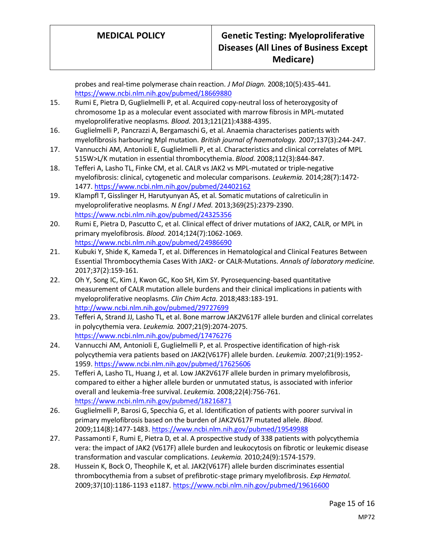probes and real-time polymerase chain reaction. *J Mol Diagn.* 2008;10(5):435-441. <https://www.ncbi.nlm.nih.gov/pubmed/18669880>

- 15. Rumi E, Pietra D, Guglielmelli P, et al. Acquired copy-neutral loss of heterozygosity of chromosome 1p as a molecular event associated with marrow fibrosis in MPL-mutated myeloproliferative neoplasms. *Blood.* 2013;121(21):4388-4395.
- 16. Guglielmelli P, Pancrazzi A, Bergamaschi G, et al. Anaemia characterises patients with myelofibrosis harbouring Mpl mutation. *British journal of haematology.* 2007;137(3):244-247.
- 17. Vannucchi AM, Antonioli E, Guglielmelli P, et al. Characteristics and clinical correlates of MPL 515W>L/K mutation in essential thrombocythemia. *Blood.* 2008;112(3):844-847.
- 18. Tefferi A, Lasho TL, Finke CM, et al. CALR vs JAK2 vs MPL-mutated or triple-negative myelofibrosis: clinical, cytogenetic and molecular comparisons. *Leukemia.* 2014;28(7):1472- 1477[. https://www.ncbi.nlm.nih.gov/pubmed/24402162](https://www.ncbi.nlm.nih.gov/pubmed/24402162)
- 19. Klampfl T, Gisslinger H, Harutyunyan AS, et al. Somatic mutations of calreticulin in myeloproliferative neoplasms. *N Engl J Med.* 2013;369(25):2379-2390. <https://www.ncbi.nlm.nih.gov/pubmed/24325356>
- 20. Rumi E, Pietra D, Pascutto C, et al. Clinical effect of driver mutations of JAK2, CALR, or MPL in primary myelofibrosis. *Blood.* 2014;124(7):1062-1069. <https://www.ncbi.nlm.nih.gov/pubmed/24986690>
- 21. Kubuki Y, Shide K, Kameda T, et al. Differences in Hematological and Clinical Features Between Essential Thrombocythemia Cases With JAK2- or CALR-Mutations. *Annals of laboratory medicine.*  2017;37(2):159-161.
- 22. Oh Y, Song IC, Kim J, Kwon GC, Koo SH, Kim SY. Pyrosequencing-based quantitative measurement of CALR mutation allele burdens and their clinical implications in patients with myeloproliferative neoplasms. *Clin Chim Acta.* 2018;483:183-191. <http://www.ncbi.nlm.nih.gov/pubmed/29727699>
- 23. Tefferi A, Strand JJ, Lasho TL, et al. Bone marrow JAK2V617F allele burden and clinical correlates in polycythemia vera. *Leukemia.* 2007;21(9):2074-2075. <https://www.ncbi.nlm.nih.gov/pubmed/17476276>
- 24. Vannucchi AM, Antonioli E, Guglielmelli P, et al. Prospective identification of high-risk polycythemia vera patients based on JAK2(V617F) allele burden. *Leukemia.* 2007;21(9):1952- 1959[. https://www.ncbi.nlm.nih.gov/pubmed/17625606](https://www.ncbi.nlm.nih.gov/pubmed/17625606)
- 25. Tefferi A, Lasho TL, Huang J, et al. Low JAK2V617F allele burden in primary myelofibrosis, compared to either a higher allele burden or unmutated status, is associated with inferior overall and leukemia-free survival. *Leukemia.* 2008;22(4):756-761. <https://www.ncbi.nlm.nih.gov/pubmed/18216871>
- 26. Guglielmelli P, Barosi G, Specchia G, et al. Identification of patients with poorer survival in primary myelofibrosis based on the burden of JAK2V617F mutated allele. *Blood.*  2009;114(8):1477-1483[. https://www.ncbi.nlm.nih.gov/pubmed/19549988](https://www.ncbi.nlm.nih.gov/pubmed/19549988)
- 27. Passamonti F, Rumi E, Pietra D, et al. A prospective study of 338 patients with polycythemia vera: the impact of JAK2 (V617F) allele burden and leukocytosis on fibrotic or leukemic disease transformation and vascular complications. *Leukemia.* 2010;24(9):1574-1579.
- 28. Hussein K, Bock O, Theophile K, et al. JAK2(V617F) allele burden discriminates essential thrombocythemia from a subset of prefibrotic-stage primary myelofibrosis. *Exp Hematol.*  2009;37(10):1186-1193 e1187[. https://www.ncbi.nlm.nih.gov/pubmed/19616600](https://www.ncbi.nlm.nih.gov/pubmed/19616600)